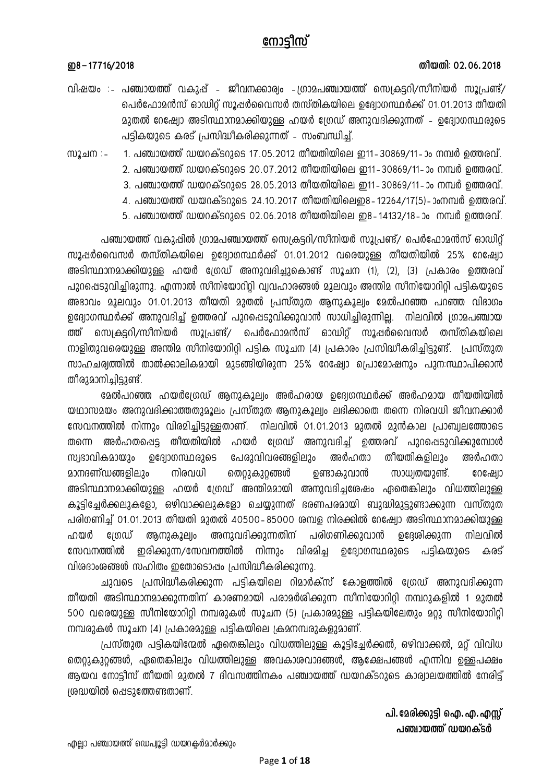## നോടിസ്

## തീയതി: 02.06.2018

## ற8-17716/2018

- വിഷയം :- പഞ്ചായത്ത് വകുപ്പ് ജീവനക്കാര്വം -ഗ്രാമപഞ്ചായത്ത് സെക്രട്ടറി/സീനിയർ സൂപ്രണ്ട്/ പെർഫോമൻസ് ഓഡിറ്റ് സൂഷർവൈസർ തസ്തികയിലെ ഉദ്യോഗസ്ഥർക്ക് 01.01.2013 തീയതി മുതൽ റേഷ്വോ അടിസ്ഥാനമാക്കിയുള്ള ഹയർ ശ്രേഡ് അനുവദിക്കുന്നത് - ഉദ്വോഗസ്ഥരുടെ പട്ടികയുടെ കരട് പ്രസിദ്ധീകരിക്കുന്നത് – സംബന്ധിച്ച്.
- 1. പഞ്ചായത്ത് ഡയറക്ടറുടെ 17.05.2012 തീയതിയിലെ ഇ11–30869/11–ാം നമ്പർ ഉത്തരവ്. <u>സൂചന : -</u> 2. പഞ്ചായത്ത് ഡയറക്ടറുടെ 20.07.2012 തീയതിയിലെ ഇ11–30869/11–ാം നമ്പർ ത്തെരവ്.
	- 3. പഞ്ചായത്ത് ഡയറക്ടറുടെ 28.05.2013 തീയതിയിലെ ഇ11–30869/11–ാം നമ്പർ ഉത്തരവ്.
		- 4. പഞ്ചായത്ത് ഡയറക്ടറുടെ 24.10.2017 തീയതിയിലെഇ8-12264/17(5)-ാംനമ്പർ ഉത്തരവ്.
	- 5. പഞ്ചായത്ത് ഡയറക്ടറുടെ 02.06.2018 തീയതിയിലെ ഇ8-14132/18-ാം നമ്പർ ഉത്തരവ്.

പഞ്ചായത്ത് വകുപ്പിൽ ഗ്രാമപഞ്ചായത്ത് സെക്രട്ടറി/സീനിയർ സൂപ്രണ്ട്/ പെർഫോമൻസ് ഓഡിറ്റ് സൂഷർവൈസർ തസ്തികയിലെ ഉദ്വോഗസ്ഥർക്ക് 01.01.2012 വരെയുള്ള തീയതിയിൽ 25% റേഷ്വോ അടിസ്ഥാനമാക്കിയുള്ള ഹയർ ഗ്രേഡ് അനുവദിച്ചുകൊണ്ട് സൂചന (1), (2), (3) പ്രകാരം ഉത്തരവ് പുറപ്പെടുവിച്ചിരുന്നു. എന്നാൽ സീനിയോറിറ്റി വ്യവഹാരങ്ങൾ മൂലവും അന്തിമ സീനിയോറിറ്റി പട്ടികയുടെ അദാവം മൂലവും 01.01.2013 തീയതി മുതൽ പ്രസ്തുത ആനുകൂല്വം മേൽപറഞ്ഞ പറഞ്ഞ വിഭാഗം ഉദ്വോഗസ്ഥർക്ക് അനുവദിച്ച് ഉത്തരവ് പുറപ്പെടുവിക്കുവാൻ സാധിച്ചിരുന്നില്ല. നിലവിൽ ഗ്രാമപഞ്ചായ സെക്രട്ടറി/സീനിയർ സൂപ്രണ്ട്/ പെർഫോമൻസ് ഓഡിറ്റ് സൂഷർവൈസർ തസ്തികയിലെ ത്ത് നാളിതുവരെയുള്ള അന്തിമ സീനിയോറിറ്റി പട്ടിക സൂചന (4) പ്രകാരം പ്രസിദ്ധീകരിച്ചിട്ടുണ്ട്. പ്രസ്തുത സാഹചര്വത്തിൽ താൽക്കാലികമായി മുടങ്ങിയിരുന്ന 25% റേഷ്വോ പ്രൊമോഷനും പുന:സ്ഥാപിക്കാൻ തീരുമാനിച്ചിട്ടുണ്ട്.

മേൽപറഞ്ഞ ഹയർദ്രേഡ് ആനുകൂല്വം അർഹരായ ഉദ്വേഗസ്ഥർക്ക് അർഹമായ തീയതിയിൽ യഥാസമയം അനുവദിക്കാത്തതുമൂലം പ്രസ്തുത ആനുകൂല്വം ലഭിക്കാതെ തന്നെ നിരവധി ജീവനക്കാർ സേവനത്തിൽ നിന്നും വിരമിച്ചിട്ടുള്ളതാണ്. നിലവിൽ 01.01.2013 മുതൽ മുൻകാല പ്രാബ്വലത്തോടെ അർഹതപ്പെട്ട തീയതിയിൽ ഹയർ ഗ്രേഡ് അനുവദിച്ച് ഉത്തരവ് പുറപ്പെടുവിക്കുമ്പോൾ തന്നെ സ്വഭാവികമായും ഉദ്യോഗസ്ഥരുടെ പേരുവിവരങ്ങളിലും അർഹതാ തീയതികളിലും അർഹതാ മാനദണ്ഡങ്ങളിലും നിരവധി തെറ്റുകുറ്റങ്ങൾ ഉണ്ടാകുവാൻ സാധ്വതയുണ്ട്. റേഷ്വോ അടിസ്ഥാനമാക്കിയുള്ള ഹയർ ശ്രേഡ് അന്തിമമായി അനുവദിച്ചശേഷം ഏതെങ്കിലും വിധത്തിലുള്ള കൂട്ടിച്ചേർക്കലുകളോ, ഒഴിവാക്കലുകളോ ചെയ്യുന്നത് ഭരണപരമായി ബുദ്ധിമുട്ടുണ്ടാക്കുന്ന വസ്തുത പരിഗണിച്ച് 01.01.2013 തീയതി മുതൽ 40500–85000 ശമ്പള നിരക്കിൽ റേഷ്യോ അടിസ്ഥാനമാക്കിയുള്ള അനുവദിക്കുന്നതിന് പരിഗണിക്കുവാൻ നിലവിൽ ഹയർ ពេលា അനാകാലിം ഉദേശിക്കുന്ന സേവനത്തിൽ ഇരിക്കുന്ന/സേവനത്തിൽ നിന്നും വിരമിച്ച കരട് ഉദ്വോഗസ്ഥരുടെ പട്ടികയുടെ വിരദാംശങ്ങൾ സഹിതം ഇതോടൊപ്പം പ്രസിദ്ധീകരിക്കുന്നു.

ചുവടെ പ്രസിദ്ധീകരിക്കുന്ന പട്ടികയിലെ റിമാർക്സ് കോളത്തിൽ ശ്രേഡ് അനുവദിക്കുന്ന തീയതി അടിസ്ഥാനമാക്കുന്നതിന് കാരണമായി പരാമർശിക്കുന്ന സീനിയോറിറ്റി നമ്പറുകളിൽ 1 മുതൽ 500 വരെയുള്ള സീനിയോറിറ്റി നമ്പരുകൾ സൂചന (5) പ്രകാരമുള്ള പട്ടികയിലേതും മറ്റു സീനിയോറിറ്റി നമ്പരുകൾ സൂചന (4) പ്രകാരമുള്ള പട്ടികയിലെ ക്രമനമ്പരുകളുമാണ്.

പ്രസ്തുത പട്ടികയിന്മേൽ ഏതെങ്കിലും വിധത്തിലുള്ള കൂട്ടിച്ചേർക്കൽ, ഒഴിവാക്കൽ, മറ്റ് വിവിധ തെറ്റുകുറ്റങ്ങൾ, ഏതെങ്കിലും വിധത്തിലുള്ള അവകാശവാദങ്ങൾ, ആക്ഷേപങ്ങൾ എന്നിവ ഉള്ളപക്ഷം ആയവ നോട്ടീസ് തീയതി മുതൽ 7 ദിവസത്തിനകം പഞ്ചായത്ത് ഡയറക്ടറുടെ കാര്വാലയത്തിൽ നേരിട്ട് ശ്രദ്ധയിൽ പ്പെടുത്തേണ്ടതാണ്.

> പി. മേരിക്കുട്ടി ഐ. എ. എസ്സ് പഞ്ചായത്ത് ഡയറക്ടർ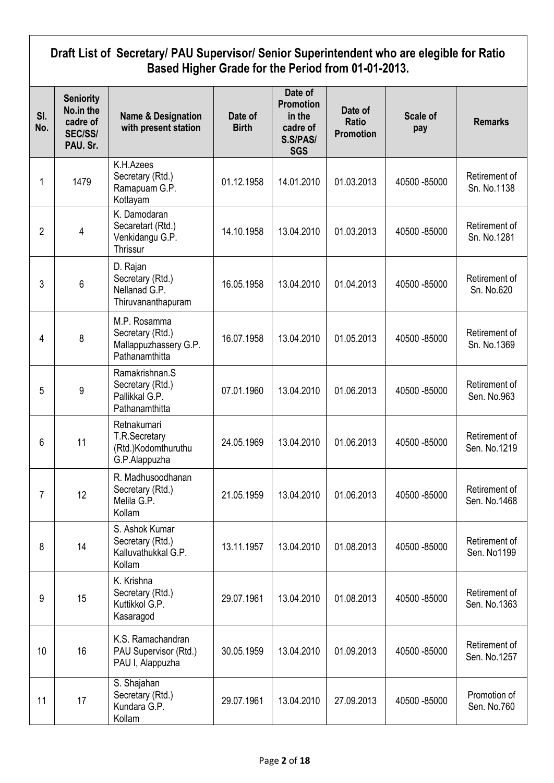## **Draft List of Secretary/ PAU Supervisor/ Senior Superintendent who are elegible for Ratio Based Higher Grade for the Period from 01-01-2013.**

| SI.<br>No. | <b>Seniority</b><br>No.in the<br>cadre of<br><b>SEC/SS/</b><br>PAU. Sr. | <b>Name &amp; Designation</b><br>with present station                       | Date of<br><b>Birth</b> | Date of<br><b>Promotion</b><br>in the<br>cadre of<br>S.S/PAS/<br><b>SGS</b> | Date of<br>Ratio<br><b>Promotion</b> | <b>Scale of</b><br>pay | <b>Remarks</b>                |
|------------|-------------------------------------------------------------------------|-----------------------------------------------------------------------------|-------------------------|-----------------------------------------------------------------------------|--------------------------------------|------------------------|-------------------------------|
| 1          | 1479                                                                    | K.H.Azees<br>Secretary (Rtd.)<br>Ramapuam G.P.<br>Kottayam                  | 01.12.1958              | 14.01.2010                                                                  | 01.03.2013                           | 40500 - 85000          | Retirement of<br>Sn. No.1138  |
| 2          | 4                                                                       | K. Damodaran<br>Secaretart (Rtd.)<br>Venkidangu G.P.<br>Thrissur            | 14.10.1958              | 13.04.2010                                                                  | 01.03.2013                           | 40500 - 85000          | Retirement of<br>Sn. No.1281  |
| 3          | 6                                                                       | D. Rajan<br>Secretary (Rtd.)<br>Nellanad G.P.<br>Thiruvananthapuram         | 16.05.1958              | 13.04.2010                                                                  | 01.04.2013                           | 40500 - 85000          | Retirement of<br>Sn. No.620   |
| 4          | 8                                                                       | M.P. Rosamma<br>Secretary (Rtd.)<br>Mallappuzhassery G.P.<br>Pathanamthitta | 16.07.1958              | 13.04.2010                                                                  | 01.05.2013                           | 40500 - 85000          | Retirement of<br>Sn. No.1369  |
| 5          | 9                                                                       | Ramakrishnan.S<br>Secretary (Rtd.)<br>Pallikkal G.P.<br>Pathanamthitta      | 07.01.1960              | 13.04.2010                                                                  | 01.06.2013                           | 40500 - 85000          | Retirement of<br>Sen. No.963  |
| 6          | 11                                                                      | Retnakumari<br>T.R.Secretary<br>(Rtd.)Kodomthuruthu<br>G.P.Alappuzha        | 24.05.1969              | 13.04.2010                                                                  | 01.06.2013                           | 40500 - 85000          | Retirement of<br>Sen. No.1219 |
| 7          | 12                                                                      | R. Madhusoodhanan<br>Secretary (Rtd.)<br>Melila G.P.<br>Kollam              | 21.05.1959              | 13.04.2010                                                                  | 01.06.2013                           | 40500 - 85000          | Retirement of<br>Sen. No.1468 |
| 8          | 14                                                                      | S. Ashok Kumar<br>Secretary (Rtd.)<br>Kalluvathukkal G.P.<br>Kollam         | 13.11.1957              | 13.04.2010                                                                  | 01.08.2013                           | 40500 - 85000          | Retirement of<br>Sen. No1199  |
| 9          | 15                                                                      | K. Krishna<br>Secretary (Rtd.)<br>Kuttikkol G.P.<br>Kasaragod               | 29.07.1961              | 13.04.2010                                                                  | 01.08.2013                           | 40500 - 85000          | Retirement of<br>Sen. No.1363 |
| 10         | 16                                                                      | K.S. Ramachandran<br>PAU Supervisor (Rtd.)<br>PAU I, Alappuzha              | 30.05.1959              | 13.04.2010                                                                  | 01.09.2013                           | 40500 - 85000          | Retirement of<br>Sen. No.1257 |
| 11         | 17                                                                      | S. Shajahan<br>Secretary (Rtd.)<br>Kundara G.P.<br>Kollam                   | 29.07.1961              | 13.04.2010                                                                  | 27.09.2013                           | 40500 - 85000          | Promotion of<br>Sen. No.760   |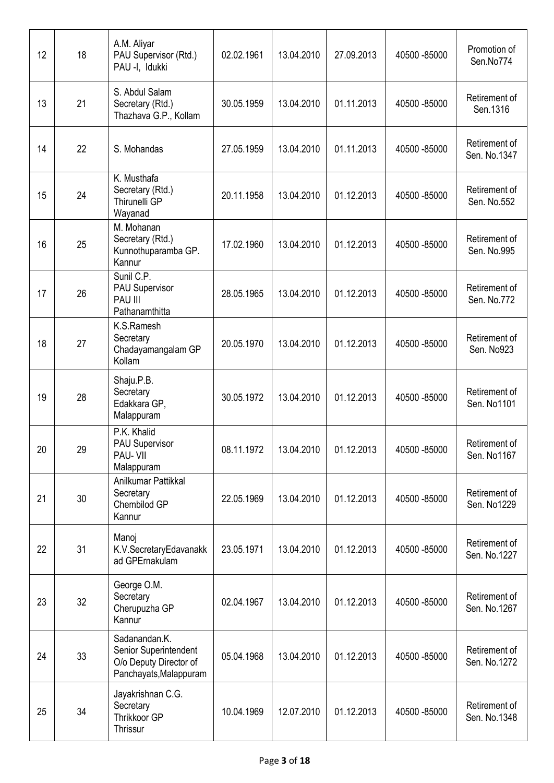| 12 | 18 | A.M. Aliyar<br>PAU Supervisor (Rtd.)<br>PAU -I, Idukki                                     | 02.02.1961 | 13.04.2010 | 27.09.2013 | 40500 - 85000 | Promotion of<br>Sen.No774     |
|----|----|--------------------------------------------------------------------------------------------|------------|------------|------------|---------------|-------------------------------|
| 13 | 21 | S. Abdul Salam<br>Secretary (Rtd.)<br>Thazhava G.P., Kollam                                | 30.05.1959 | 13.04.2010 | 01.11.2013 | 40500 - 85000 | Retirement of<br>Sen.1316     |
| 14 | 22 | S. Mohandas                                                                                | 27.05.1959 | 13.04.2010 | 01.11.2013 | 40500 - 85000 | Retirement of<br>Sen. No.1347 |
| 15 | 24 | K. Musthafa<br>Secretary (Rtd.)<br>Thirunelli GP<br>Wayanad                                | 20.11.1958 | 13.04.2010 | 01.12.2013 | 40500 - 85000 | Retirement of<br>Sen. No.552  |
| 16 | 25 | M. Mohanan<br>Secretary (Rtd.)<br>Kunnothuparamba GP.<br>Kannur                            | 17.02.1960 | 13.04.2010 | 01.12.2013 | 40500 - 85000 | Retirement of<br>Sen. No.995  |
| 17 | 26 | Sunil C.P.<br><b>PAU Supervisor</b><br>PAU III<br>Pathanamthitta                           | 28.05.1965 | 13.04.2010 | 01.12.2013 | 40500 - 85000 | Retirement of<br>Sen. No.772  |
| 18 | 27 | K.S.Ramesh<br>Secretary<br>Chadayamangalam GP<br>Kollam                                    | 20.05.1970 | 13.04.2010 | 01.12.2013 | 40500 - 85000 | Retirement of<br>Sen. No923   |
| 19 | 28 | Shaju.P.B.<br>Secretary<br>Edakkara GP,<br>Malappuram                                      | 30.05.1972 | 13.04.2010 | 01.12.2013 | 40500 - 85000 | Retirement of<br>Sen. No1101  |
| 20 | 29 | P.K. Khalid<br><b>PAU Supervisor</b><br>PAU- VII<br>Malappuram                             | 08.11.1972 | 13.04.2010 | 01.12.2013 | 40500 -85000  | Retirement of<br>Sen. No1167  |
| 21 | 30 | Anilkumar Pattikkal<br>Secretary<br>Chembilod GP<br>Kannur                                 | 22.05.1969 | 13.04.2010 | 01.12.2013 | 40500 - 85000 | Retirement of<br>Sen. No1229  |
| 22 | 31 | Manoj<br>K.V.SecretaryEdavanakk<br>ad GPErnakulam                                          | 23.05.1971 | 13.04.2010 | 01.12.2013 | 40500 - 85000 | Retirement of<br>Sen. No.1227 |
| 23 | 32 | George O.M.<br>Secretary<br>Cherupuzha GP<br>Kannur                                        | 02.04.1967 | 13.04.2010 | 01.12.2013 | 40500 - 85000 | Retirement of<br>Sen. No.1267 |
| 24 | 33 | Sadanandan.K.<br>Senior Superintendent<br>O/o Deputy Director of<br>Panchayats, Malappuram | 05.04.1968 | 13.04.2010 | 01.12.2013 | 40500 - 85000 | Retirement of<br>Sen. No.1272 |
| 25 | 34 | Jayakrishnan C.G.<br>Secretary<br>Thrikkoor GP<br>Thrissur                                 | 10.04.1969 | 12.07.2010 | 01.12.2013 | 40500 - 85000 | Retirement of<br>Sen. No.1348 |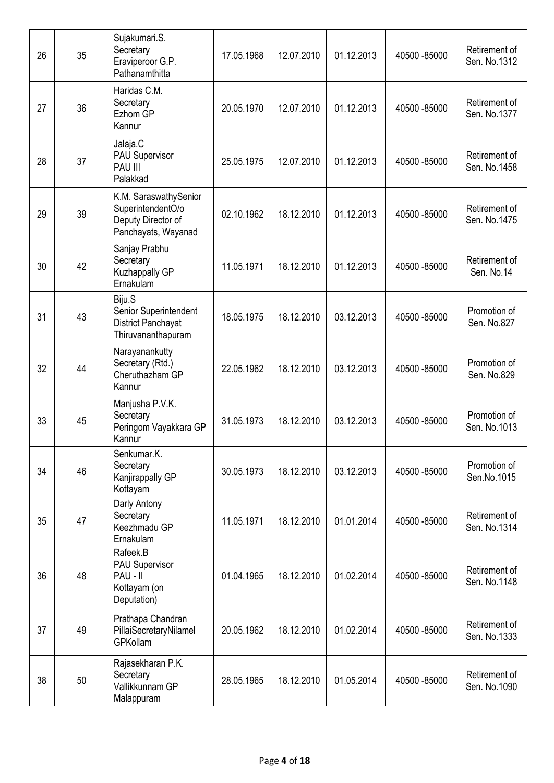| 26 | 35 | Sujakumari.S.<br>Secretary<br>Eraviperoor G.P.<br>Pathanamthitta                        | 17.05.1968 | 12.07.2010 | 01.12.2013 | 40500 - 85000 | Retirement of<br>Sen. No.1312 |
|----|----|-----------------------------------------------------------------------------------------|------------|------------|------------|---------------|-------------------------------|
| 27 | 36 | Haridas C.M.<br>Secretary<br>Ezhom GP<br>Kannur                                         | 20.05.1970 | 12.07.2010 | 01.12.2013 | 40500 - 85000 | Retirement of<br>Sen. No.1377 |
| 28 | 37 | Jalaja.C<br><b>PAU Supervisor</b><br>PAU III<br>Palakkad                                | 25.05.1975 | 12.07.2010 | 01.12.2013 | 40500 - 85000 | Retirement of<br>Sen. No.1458 |
| 29 | 39 | K.M. SaraswathySenior<br>SuperintendentO/o<br>Deputy Director of<br>Panchayats, Wayanad | 02.10.1962 | 18.12.2010 | 01.12.2013 | 40500 - 85000 | Retirement of<br>Sen. No.1475 |
| 30 | 42 | Sanjay Prabhu<br>Secretary<br>Kuzhappally GP<br>Ernakulam                               | 11.05.1971 | 18.12.2010 | 01.12.2013 | 40500 - 85000 | Retirement of<br>Sen. No.14   |
| 31 | 43 | Biju.S<br>Senior Superintendent<br>District Panchayat<br>Thiruvananthapuram             | 18.05.1975 | 18.12.2010 | 03.12.2013 | 40500 - 85000 | Promotion of<br>Sen. No.827   |
| 32 | 44 | Narayanankutty<br>Secretary (Rtd.)<br>Cheruthazham GP<br>Kannur                         | 22.05.1962 | 18.12.2010 | 03.12.2013 | 40500 - 85000 | Promotion of<br>Sen. No.829   |
| 33 | 45 | Manjusha P.V.K.<br>Secretary<br>Peringom Vayakkara GP<br>Kannur                         | 31.05.1973 | 18.12.2010 | 03.12.2013 | 40500 - 85000 | Promotion of<br>Sen. No.1013  |
| 34 | 46 | Senkumar.K.<br>Secretary<br>Kanjirappally GP<br>Kottayam                                | 30.05.1973 | 18.12.2010 | 03.12.2013 | 40500 - 85000 | Promotion of<br>Sen.No.1015   |
| 35 | 47 | Darly Antony<br>Secretary<br>Keezhmadu GP<br>Ernakulam                                  | 11.05.1971 | 18.12.2010 | 01.01.2014 | 40500 - 85000 | Retirement of<br>Sen. No.1314 |
| 36 | 48 | Rafeek.B<br><b>PAU Supervisor</b><br>PAU - II<br>Kottayam (on<br>Deputation)            | 01.04.1965 | 18.12.2010 | 01.02.2014 | 40500 - 85000 | Retirement of<br>Sen. No.1148 |
| 37 | 49 | Prathapa Chandran<br>PillaiSecretaryNilamel<br>GPKollam                                 | 20.05.1962 | 18.12.2010 | 01.02.2014 | 40500 - 85000 | Retirement of<br>Sen. No.1333 |
| 38 | 50 | Rajasekharan P.K.<br>Secretary<br>Vallikkunnam GP<br>Malappuram                         | 28.05.1965 | 18.12.2010 | 01.05.2014 | 40500 - 85000 | Retirement of<br>Sen. No.1090 |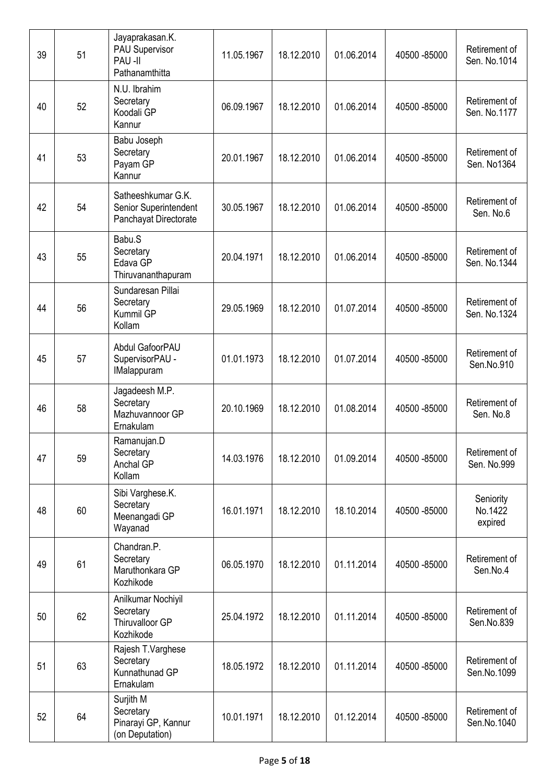| 39 | 51 | Jayaprakasan.K.<br>PAU Supervisor<br>PAU-II<br>Pathanamthitta        | 11.05.1967 | 18.12.2010 | 01.06.2014 | 40500 - 85000 | Retirement of<br>Sen. No.1014   |
|----|----|----------------------------------------------------------------------|------------|------------|------------|---------------|---------------------------------|
| 40 | 52 | N.U. Ibrahim<br>Secretary<br>Koodali GP<br>Kannur                    | 06.09.1967 | 18.12.2010 | 01.06.2014 | 40500 - 85000 | Retirement of<br>Sen. No.1177   |
| 41 | 53 | Babu Joseph<br>Secretary<br>Payam GP<br>Kannur                       | 20.01.1967 | 18.12.2010 | 01.06.2014 | 40500 - 85000 | Retirement of<br>Sen. No1364    |
| 42 | 54 | Satheeshkumar G.K.<br>Senior Superintendent<br>Panchayat Directorate | 30.05.1967 | 18.12.2010 | 01.06.2014 | 40500 - 85000 | Retirement of<br>Sen. No.6      |
| 43 | 55 | Babu.S<br>Secretary<br>Edava GP<br>Thiruvananthapuram                | 20.04.1971 | 18.12.2010 | 01.06.2014 | 40500 - 85000 | Retirement of<br>Sen. No.1344   |
| 44 | 56 | Sundaresan Pillai<br>Secretary<br>Kummil GP<br>Kollam                | 29.05.1969 | 18.12.2010 | 01.07.2014 | 40500 - 85000 | Retirement of<br>Sen. No.1324   |
| 45 | 57 | Abdul GafoorPAU<br>SupervisorPAU -<br><b>IMalappuram</b>             | 01.01.1973 | 18.12.2010 | 01.07.2014 | 40500 - 85000 | Retirement of<br>Sen.No.910     |
| 46 | 58 | Jagadeesh M.P.<br>Secretary<br>Mazhuvannoor GP<br>Ernakulam          | 20.10.1969 | 18.12.2010 | 01.08.2014 | 40500 - 85000 | Retirement of<br>Sen. No.8      |
| 47 | 59 | Ramanujan.D<br>Secretary<br>Anchal GP<br>Kollam                      | 14.03.1976 | 18.12.2010 | 01.09.2014 | 40500 - 85000 | Retirement of<br>Sen. No.999    |
| 48 | 60 | Sibi Varghese.K.<br>Secretary<br>Meenangadi GP<br>Wayanad            | 16.01.1971 | 18.12.2010 | 18.10.2014 | 40500 - 85000 | Seniority<br>No.1422<br>expired |
| 49 | 61 | Chandran.P.<br>Secretary<br>Maruthonkara GP<br>Kozhikode             | 06.05.1970 | 18.12.2010 | 01.11.2014 | 40500 - 85000 | Retirement of<br>Sen.No.4       |
| 50 | 62 | Anilkumar Nochiyil<br>Secretary<br>Thiruvalloor GP<br>Kozhikode      | 25.04.1972 | 18.12.2010 | 01.11.2014 | 40500 - 85000 | Retirement of<br>Sen.No.839     |
| 51 | 63 | Rajesh T.Varghese<br>Secretary<br>Kunnathunad GP<br>Ernakulam        | 18.05.1972 | 18.12.2010 | 01.11.2014 | 40500 - 85000 | Retirement of<br>Sen.No.1099    |
| 52 | 64 | Surjith M<br>Secretary<br>Pinarayi GP, Kannur<br>(on Deputation)     | 10.01.1971 | 18.12.2010 | 01.12.2014 | 40500 - 85000 | Retirement of<br>Sen.No.1040    |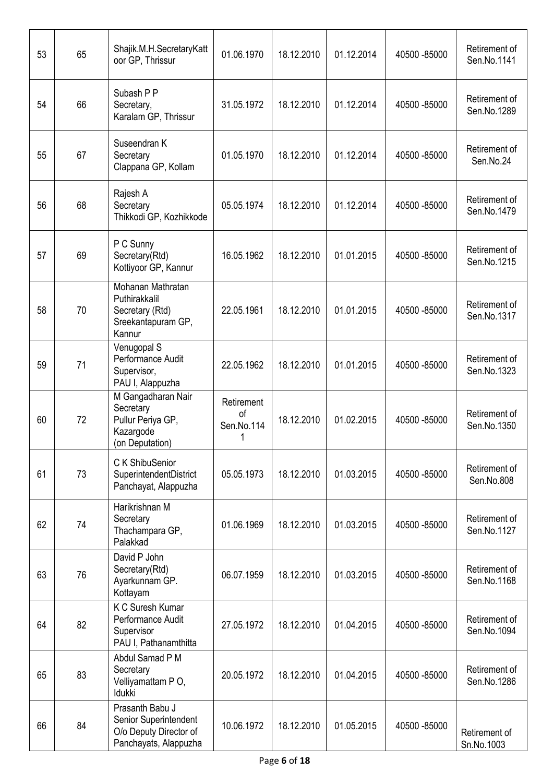| 53 | 65 | Shajik.M.H.SecretaryKatt<br>oor GP, Thrissur                                                | 01.06.1970                                | 18.12.2010 | 01.12.2014 | 40500 - 85000 | Retirement of<br>Sen.No.1141 |
|----|----|---------------------------------------------------------------------------------------------|-------------------------------------------|------------|------------|---------------|------------------------------|
| 54 | 66 | Subash P P<br>Secretary,<br>Karalam GP, Thrissur                                            | 31.05.1972                                | 18.12.2010 | 01.12.2014 | 40500 - 85000 | Retirement of<br>Sen.No.1289 |
| 55 | 67 | Suseendran K<br>Secretary<br>Clappana GP, Kollam                                            | 01.05.1970                                | 18.12.2010 | 01.12.2014 | 40500 - 85000 | Retirement of<br>Sen.No.24   |
| 56 | 68 | Rajesh A<br>Secretary<br>Thikkodi GP, Kozhikkode                                            | 05.05.1974                                | 18.12.2010 | 01.12.2014 | 40500 - 85000 | Retirement of<br>Sen.No.1479 |
| 57 | 69 | P C Sunny<br>Secretary(Rtd)<br>Kottiyoor GP, Kannur                                         | 16.05.1962                                | 18.12.2010 | 01.01.2015 | 40500 - 85000 | Retirement of<br>Sen.No.1215 |
| 58 | 70 | Mohanan Mathratan<br>Puthirakkalil<br>Secretary (Rtd)<br>Sreekantapuram GP,<br>Kannur       | 22.05.1961                                | 18.12.2010 | 01.01.2015 | 40500 - 85000 | Retirement of<br>Sen.No.1317 |
| 59 | 71 | Venugopal S<br>Performance Audit<br>Supervisor,<br>PAU I, Alappuzha                         | 22.05.1962                                | 18.12.2010 | 01.01.2015 | 40500 - 85000 | Retirement of<br>Sen.No.1323 |
| 60 | 72 | M Gangadharan Nair<br>Secretary<br>Pullur Periya GP,<br>Kazargode<br>(on Deputation)        | Retirement<br><sub>of</sub><br>Sen.No.114 | 18.12.2010 | 01.02.2015 | 40500 - 85000 | Retirement of<br>Sen.No.1350 |
| 61 | 73 | C K ShibuSenior<br>SuperintendentDistrict<br>Panchayat, Alappuzha                           | 05.05.1973                                | 18.12.2010 | 01.03.2015 | 40500 - 85000 | Retirement of<br>Sen.No.808  |
| 62 | 74 | Harikrishnan M<br>Secretary<br>Thachampara GP,<br>Palakkad                                  | 01.06.1969                                | 18.12.2010 | 01.03.2015 | 40500 - 85000 | Retirement of<br>Sen.No.1127 |
| 63 | 76 | David P John<br>Secretary(Rtd)<br>Ayarkunnam GP.<br>Kottayam                                | 06.07.1959                                | 18.12.2010 | 01.03.2015 | 40500 - 85000 | Retirement of<br>Sen.No.1168 |
| 64 | 82 | K C Suresh Kumar<br>Performance Audit<br>Supervisor<br>PAU I, Pathanamthitta                | 27.05.1972                                | 18.12.2010 | 01.04.2015 | 40500 - 85000 | Retirement of<br>Sen.No.1094 |
| 65 | 83 | Abdul Samad P M<br>Secretary<br>Velliyamattam PO,<br>Idukki                                 | 20.05.1972                                | 18.12.2010 | 01.04.2015 | 40500 - 85000 | Retirement of<br>Sen.No.1286 |
| 66 | 84 | Prasanth Babu J<br>Senior Superintendent<br>O/o Deputy Director of<br>Panchayats, Alappuzha | 10.06.1972                                | 18.12.2010 | 01.05.2015 | 40500 - 85000 | Retirement of<br>Sn.No.1003  |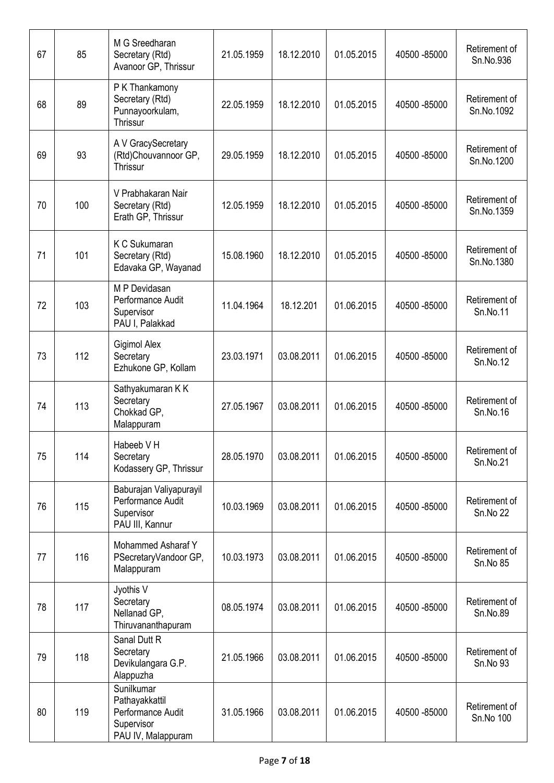| 67 | 85  | M G Sreedharan<br>Secretary (Rtd)<br>Avanoor GP, Thrissur                             | 21.05.1959 | 18.12.2010 | 01.05.2015 | 40500 - 85000 | Retirement of<br>Sn.No.936       |
|----|-----|---------------------------------------------------------------------------------------|------------|------------|------------|---------------|----------------------------------|
| 68 | 89  | P K Thankamony<br>Secretary (Rtd)<br>Punnayoorkulam,<br>Thrissur                      | 22.05.1959 | 18.12.2010 | 01.05.2015 | 40500 -85000  | Retirement of<br>Sn.No.1092      |
| 69 | 93  | A V GracySecretary<br>(Rtd)Chouvannoor GP,<br>Thrissur                                | 29.05.1959 | 18.12.2010 | 01.05.2015 | 40500 - 85000 | Retirement of<br>Sn.No.1200      |
| 70 | 100 | V Prabhakaran Nair<br>Secretary (Rtd)<br>Erath GP, Thrissur                           | 12.05.1959 | 18.12.2010 | 01.05.2015 | 40500 -85000  | Retirement of<br>Sn.No.1359      |
| 71 | 101 | K C Sukumaran<br>Secretary (Rtd)<br>Edavaka GP, Wayanad                               | 15.08.1960 | 18.12.2010 | 01.05.2015 | 40500 - 85000 | Retirement of<br>Sn.No.1380      |
| 72 | 103 | M P Devidasan<br>Performance Audit<br>Supervisor<br>PAU I, Palakkad                   | 11.04.1964 | 18.12.201  | 01.06.2015 | 40500 - 85000 | Retirement of<br>Sn.No.11        |
| 73 | 112 | Gigimol Alex<br>Secretary<br>Ezhukone GP, Kollam                                      | 23.03.1971 | 03.08.2011 | 01.06.2015 | 40500 - 85000 | Retirement of<br>Sn.No.12        |
| 74 | 113 | Sathyakumaran K K<br>Secretary<br>Chokkad GP,<br>Malappuram                           | 27.05.1967 | 03.08.2011 | 01.06.2015 | 40500 - 85000 | Retirement of<br>Sn.No.16        |
| 75 | 114 | Habeeb V H<br>Secretary<br>Kodassery GP, Thrissur                                     | 28.05.1970 | 03.08.2011 | 01.06.2015 | 40500 -85000  | Retirement of<br>Sn.No.21        |
| 76 | 115 | Baburajan Valiyapurayil<br>Performance Audit<br>Supervisor<br>PAU III, Kannur         | 10.03.1969 | 03.08.2011 | 01.06.2015 | 40500 - 85000 | Retirement of<br><b>Sn.No 22</b> |
| 77 | 116 | Mohammed Asharaf Y<br>PSecretaryVandoor GP,<br>Malappuram                             | 10.03.1973 | 03.08.2011 | 01.06.2015 | 40500 - 85000 | Retirement of<br>Sn.No 85        |
| 78 | 117 | Jyothis V<br>Secretary<br>Nellanad GP,<br>Thiruvananthapuram                          | 08.05.1974 | 03.08.2011 | 01.06.2015 | 40500 - 85000 | Retirement of<br>Sn.No.89        |
| 79 | 118 | Sanal Dutt R<br>Secretary<br>Devikulangara G.P.<br>Alappuzha                          | 21.05.1966 | 03.08.2011 | 01.06.2015 | 40500 - 85000 | Retirement of<br>Sn.No 93        |
| 80 | 119 | Sunilkumar<br>Pathayakkattil<br>Performance Audit<br>Supervisor<br>PAU IV, Malappuram | 31.05.1966 | 03.08.2011 | 01.06.2015 | 40500 -85000  | Retirement of<br>Sn.No 100       |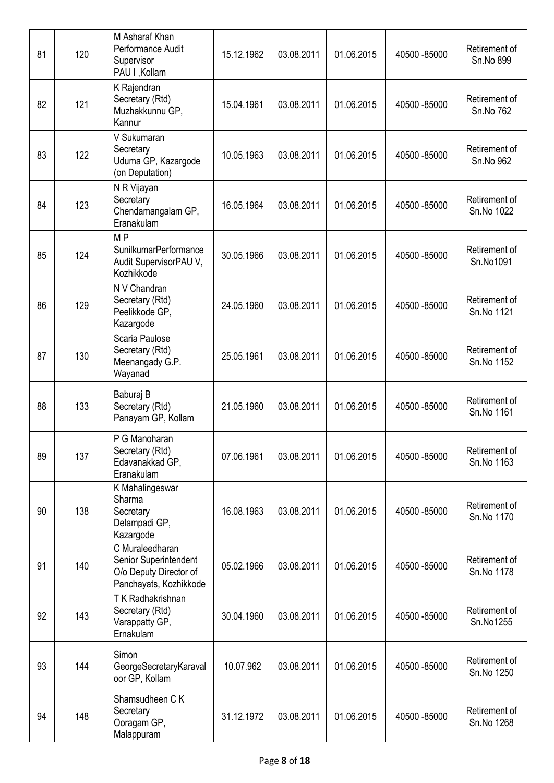| 81 | 120 | M Asharaf Khan<br>Performance Audit<br>Supervisor<br>PAU I , Kollam                          | 15.12.1962 | 03.08.2011 | 01.06.2015 | 40500 - 85000 | Retirement of<br>Sn.No 899  |
|----|-----|----------------------------------------------------------------------------------------------|------------|------------|------------|---------------|-----------------------------|
| 82 | 121 | K Rajendran<br>Secretary (Rtd)<br>Muzhakkunnu GP,<br>Kannur                                  | 15.04.1961 | 03.08.2011 | 01.06.2015 | 40500 - 85000 | Retirement of<br>Sn.No 762  |
| 83 | 122 | V Sukumaran<br>Secretary<br>Uduma GP, Kazargode<br>(on Deputation)                           | 10.05.1963 | 03.08.2011 | 01.06.2015 | 40500 - 85000 | Retirement of<br>Sn.No 962  |
| 84 | 123 | N R Vijayan<br>Secretary<br>Chendamangalam GP,<br>Eranakulam                                 | 16.05.1964 | 03.08.2011 | 01.06.2015 | 40500 - 85000 | Retirement of<br>Sn.No 1022 |
| 85 | 124 | M <sub>P</sub><br>SunilkumarPerformance<br>Audit SupervisorPAU V,<br>Kozhikkode              | 30.05.1966 | 03.08.2011 | 01.06.2015 | 40500 - 85000 | Retirement of<br>Sn.No1091  |
| 86 | 129 | N V Chandran<br>Secretary (Rtd)<br>Peelikkode GP,<br>Kazargode                               | 24.05.1960 | 03.08.2011 | 01.06.2015 | 40500 - 85000 | Retirement of<br>Sn.No 1121 |
| 87 | 130 | Scaria Paulose<br>Secretary (Rtd)<br>Meenangady G.P.<br>Wayanad                              | 25.05.1961 | 03.08.2011 | 01.06.2015 | 40500 - 85000 | Retirement of<br>Sn.No 1152 |
| 88 | 133 | Baburaj B<br>Secretary (Rtd)<br>Panayam GP, Kollam                                           | 21.05.1960 | 03.08.2011 | 01.06.2015 | 40500 - 85000 | Retirement of<br>Sn.No 1161 |
| 89 | 137 | P G Manoharan<br>Secretary (Rtd)<br>Edavanakkad GP,<br>Eranakulam                            | 07.06.1961 | 03.08.2011 | 01.06.2015 | 40500 - 85000 | Retirement of<br>Sn.No 1163 |
| 90 | 138 | K Mahalingeswar<br>Sharma<br>Secretary<br>Delampadi GP,<br>Kazargode                         | 16.08.1963 | 03.08.2011 | 01.06.2015 | 40500 - 85000 | Retirement of<br>Sn.No 1170 |
| 91 | 140 | C Muraleedharan<br>Senior Superintendent<br>O/o Deputy Director of<br>Panchayats, Kozhikkode | 05.02.1966 | 03.08.2011 | 01.06.2015 | 40500 - 85000 | Retirement of<br>Sn.No 1178 |
| 92 | 143 | T K Radhakrishnan<br>Secretary (Rtd)<br>Varappatty GP,<br>Ernakulam                          | 30.04.1960 | 03.08.2011 | 01.06.2015 | 40500 - 85000 | Retirement of<br>Sn.No1255  |
| 93 | 144 | Simon<br>GeorgeSecretaryKaraval<br>oor GP, Kollam                                            | 10.07.962  | 03.08.2011 | 01.06.2015 | 40500 - 85000 | Retirement of<br>Sn.No 1250 |
| 94 | 148 | Shamsudheen C K<br>Secretary<br>Ooragam GP,<br>Malappuram                                    | 31.12.1972 | 03.08.2011 | 01.06.2015 | 40500 - 85000 | Retirement of<br>Sn.No 1268 |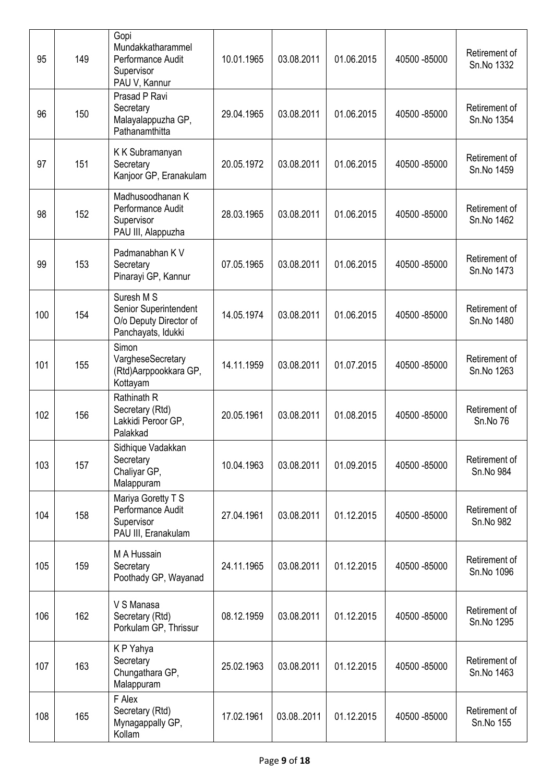| 95  | 149 | Gopi<br>Mundakkatharammel<br>Performance Audit<br>Supervisor<br>PAU V, Kannur       | 10.01.1965 | 03.08.2011 | 01.06.2015 | 40500 - 85000 | Retirement of<br>Sn.No 1332 |
|-----|-----|-------------------------------------------------------------------------------------|------------|------------|------------|---------------|-----------------------------|
| 96  | 150 | Prasad P Ravi<br>Secretary<br>Malayalappuzha GP,<br>Pathanamthitta                  | 29.04.1965 | 03.08.2011 | 01.06.2015 | 40500 - 85000 | Retirement of<br>Sn.No 1354 |
| 97  | 151 | K K Subramanyan<br>Secretary<br>Kanjoor GP, Eranakulam                              | 20.05.1972 | 03.08.2011 | 01.06.2015 | 40500 - 85000 | Retirement of<br>Sn.No 1459 |
| 98  | 152 | Madhusoodhanan K<br>Performance Audit<br>Supervisor<br>PAU III, Alappuzha           | 28.03.1965 | 03.08.2011 | 01.06.2015 | 40500 - 85000 | Retirement of<br>Sn.No 1462 |
| 99  | 153 | Padmanabhan K V<br>Secretary<br>Pinarayi GP, Kannur                                 | 07.05.1965 | 03.08.2011 | 01.06.2015 | 40500 - 85000 | Retirement of<br>Sn.No 1473 |
| 100 | 154 | Suresh M S<br>Senior Superintendent<br>O/o Deputy Director of<br>Panchayats, Idukki | 14.05.1974 | 03.08.2011 | 01.06.2015 | 40500 - 85000 | Retirement of<br>Sn.No 1480 |
| 101 | 155 | Simon<br>VargheseSecretary<br>(Rtd)Aarppookkara GP,<br>Kottayam                     | 14.11.1959 | 03.08.2011 | 01.07.2015 | 40500 - 85000 | Retirement of<br>Sn.No 1263 |
| 102 | 156 | Rathinath R<br>Secretary (Rtd)<br>Lakkidi Peroor GP,<br>Palakkad                    | 20.05.1961 | 03.08.2011 | 01.08.2015 | 40500 - 85000 | Retirement of<br>Sn.No 76   |
| 103 | 157 | Sidhique Vadakkan<br>Secretary<br>Chaliyar GP,<br>Malappuram                        | 10.04.1963 | 03.08.2011 | 01.09.2015 | 40500 - 85000 | Retirement of<br>Sn.No 984  |
| 104 | 158 | Mariya Goretty T S<br>Performance Audit<br>Supervisor<br>PAU III, Eranakulam        | 27.04.1961 | 03.08.2011 | 01.12.2015 | 40500 - 85000 | Retirement of<br>Sn.No 982  |
| 105 | 159 | M A Hussain<br>Secretary<br>Poothady GP, Wayanad                                    | 24.11.1965 | 03.08.2011 | 01.12.2015 | 40500 - 85000 | Retirement of<br>Sn.No 1096 |
| 106 | 162 | V S Manasa<br>Secretary (Rtd)<br>Porkulam GP, Thrissur                              | 08.12.1959 | 03.08.2011 | 01.12.2015 | 40500 - 85000 | Retirement of<br>Sn.No 1295 |
| 107 | 163 | KP Yahya<br>Secretary<br>Chungathara GP,<br>Malappuram                              | 25.02.1963 | 03.08.2011 | 01.12.2015 | 40500 - 85000 | Retirement of<br>Sn.No 1463 |
| 108 | 165 | F Alex<br>Secretary (Rtd)<br>Mynagappally GP,<br>Kollam                             | 17.02.1961 | 03.08.2011 | 01.12.2015 | 40500 - 85000 | Retirement of<br>Sn.No 155  |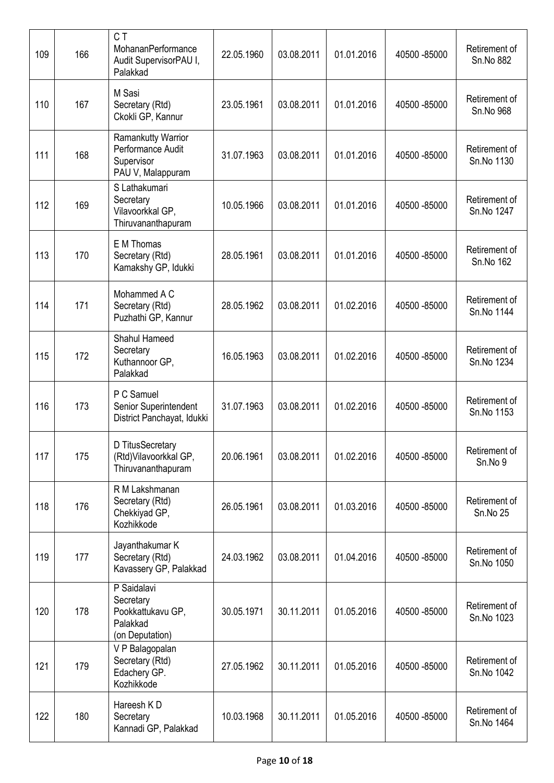| 109 | 166 | CT<br>MohananPerformance<br>Audit SupervisorPAU I,<br>Palakkad                    | 22.05.1960 | 03.08.2011 | 01.01.2016 | 40500 - 85000 | Retirement of<br>Sn.No 882  |
|-----|-----|-----------------------------------------------------------------------------------|------------|------------|------------|---------------|-----------------------------|
| 110 | 167 | M Sasi<br>Secretary (Rtd)<br>Ckokli GP, Kannur                                    | 23.05.1961 | 03.08.2011 | 01.01.2016 | 40500 - 85000 | Retirement of<br>Sn.No 968  |
| 111 | 168 | <b>Ramankutty Warrior</b><br>Performance Audit<br>Supervisor<br>PAU V, Malappuram | 31.07.1963 | 03.08.2011 | 01.01.2016 | 40500 - 85000 | Retirement of<br>Sn.No 1130 |
| 112 | 169 | S Lathakumari<br>Secretary<br>Vilavoorkkal GP,<br>Thiruvananthapuram              | 10.05.1966 | 03.08.2011 | 01.01.2016 | 40500 - 85000 | Retirement of<br>Sn.No 1247 |
| 113 | 170 | E M Thomas<br>Secretary (Rtd)<br>Kamakshy GP, Idukki                              | 28.05.1961 | 03.08.2011 | 01.01.2016 | 40500 - 85000 | Retirement of<br>Sn.No 162  |
| 114 | 171 | Mohammed A C<br>Secretary (Rtd)<br>Puzhathi GP, Kannur                            | 28.05.1962 | 03.08.2011 | 01.02.2016 | 40500 - 85000 | Retirement of<br>Sn.No 1144 |
| 115 | 172 | Shahul Hameed<br>Secretary<br>Kuthannoor GP,<br>Palakkad                          | 16.05.1963 | 03.08.2011 | 01.02.2016 | 40500 - 85000 | Retirement of<br>Sn.No 1234 |
| 116 | 173 | P C Samuel<br>Senior Superintendent<br>District Panchayat, Idukki                 | 31.07.1963 | 03.08.2011 | 01.02.2016 | 40500 - 85000 | Retirement of<br>Sn.No 1153 |
| 117 | 175 | D TitusSecretary<br>(Rtd) Vilavoorkkal GP,<br>Thiruvananthapuram                  | 20.06.1961 | 03.08.2011 | 01.02.2016 | 40500 - 85000 | Retirement of<br>Sn.No 9    |
| 118 | 176 | R M Lakshmanan<br>Secretary (Rtd)<br>Chekkiyad GP,<br>Kozhikkode                  | 26.05.1961 | 03.08.2011 | 01.03.2016 | 40500 - 85000 | Retirement of<br>Sn.No 25   |
| 119 | 177 | Jayanthakumar K<br>Secretary (Rtd)<br>Kavassery GP, Palakkad                      | 24.03.1962 | 03.08.2011 | 01.04.2016 | 40500 - 85000 | Retirement of<br>Sn.No 1050 |
| 120 | 178 | P Saidalavi<br>Secretary<br>Pookkattukavu GP,<br>Palakkad<br>(on Deputation)      | 30.05.1971 | 30.11.2011 | 01.05.2016 | 40500 - 85000 | Retirement of<br>Sn.No 1023 |
| 121 | 179 | V P Balagopalan<br>Secretary (Rtd)<br>Edachery GP.<br>Kozhikkode                  | 27.05.1962 | 30.11.2011 | 01.05.2016 | 40500 - 85000 | Retirement of<br>Sn.No 1042 |
| 122 | 180 | Hareesh KD<br>Secretary<br>Kannadi GP, Palakkad                                   | 10.03.1968 | 30.11.2011 | 01.05.2016 | 40500 - 85000 | Retirement of<br>Sn.No 1464 |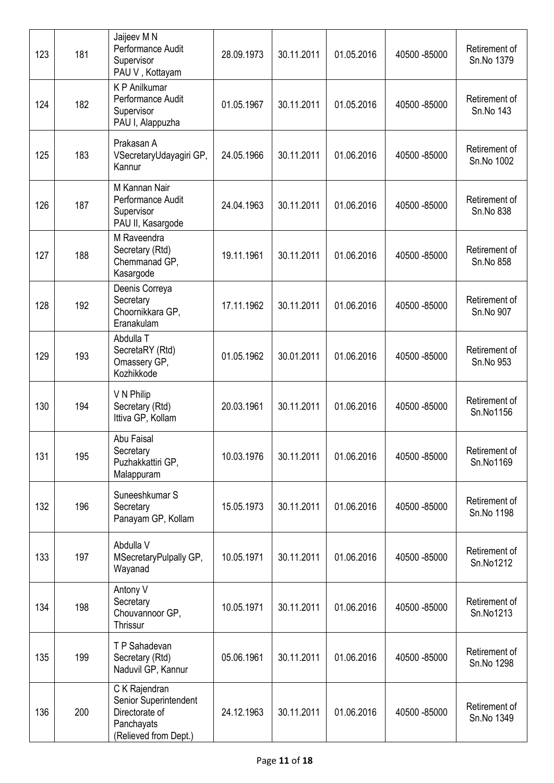| 123 | 181 | Jaijeev M N<br>Performance Audit<br>Supervisor<br>PAU V, Kottayam                               | 28.09.1973 | 30.11.2011 | 01.05.2016 | 40500 - 85000 | Retirement of<br>Sn.No 1379 |
|-----|-----|-------------------------------------------------------------------------------------------------|------------|------------|------------|---------------|-----------------------------|
| 124 | 182 | K P Anilkumar<br>Performance Audit<br>Supervisor<br>PAU I, Alappuzha                            | 01.05.1967 | 30.11.2011 | 01.05.2016 | 40500 - 85000 | Retirement of<br>Sn.No 143  |
| 125 | 183 | Prakasan A<br>VSecretaryUdayagiri GP,<br>Kannur                                                 | 24.05.1966 | 30.11.2011 | 01.06.2016 | 40500 - 85000 | Retirement of<br>Sn.No 1002 |
| 126 | 187 | M Kannan Nair<br>Performance Audit<br>Supervisor<br>PAU II, Kasargode                           | 24.04.1963 | 30.11.2011 | 01.06.2016 | 40500 - 85000 | Retirement of<br>Sn.No 838  |
| 127 | 188 | M Raveendra<br>Secretary (Rtd)<br>Chemmanad GP,<br>Kasargode                                    | 19.11.1961 | 30.11.2011 | 01.06.2016 | 40500 - 85000 | Retirement of<br>Sn.No 858  |
| 128 | 192 | Deenis Correya<br>Secretary<br>Choornikkara GP,<br>Eranakulam                                   | 17.11.1962 | 30.11.2011 | 01.06.2016 | 40500 - 85000 | Retirement of<br>Sn.No 907  |
| 129 | 193 | Abdulla T<br>SecretaRY (Rtd)<br>Omassery GP,<br>Kozhikkode                                      | 01.05.1962 | 30.01.2011 | 01.06.2016 | 40500 - 85000 | Retirement of<br>Sn.No 953  |
| 130 | 194 | V N Philip<br>Secretary (Rtd)<br>Ittiva GP, Kollam                                              | 20.03.1961 | 30.11.2011 | 01.06.2016 | 40500 - 85000 | Retirement of<br>Sn.No1156  |
| 131 | 195 | Abu Faisal<br>Secretary<br>Puzhakkattiri GP,<br>Malappuram                                      | 10.03.1976 | 30.11.2011 | 01.06.2016 | 40500 - 85000 | Retirement of<br>Sn.No1169  |
| 132 | 196 | Suneeshkumar S<br>Secretary<br>Panayam GP, Kollam                                               | 15.05.1973 | 30.11.2011 | 01.06.2016 | 40500 - 85000 | Retirement of<br>Sn.No 1198 |
| 133 | 197 | Abdulla V<br>MSecretaryPulpally GP,<br>Wayanad                                                  | 10.05.1971 | 30.11.2011 | 01.06.2016 | 40500 - 85000 | Retirement of<br>Sn.No1212  |
| 134 | 198 | Antony V<br>Secretary<br>Chouvannoor GP,<br>Thrissur                                            | 10.05.1971 | 30.11.2011 | 01.06.2016 | 40500 - 85000 | Retirement of<br>Sn.No1213  |
| 135 | 199 | TP Sahadevan<br>Secretary (Rtd)<br>Naduvil GP, Kannur                                           | 05.06.1961 | 30.11.2011 | 01.06.2016 | 40500 - 85000 | Retirement of<br>Sn.No 1298 |
| 136 | 200 | C K Rajendran<br>Senior Superintendent<br>Directorate of<br>Panchayats<br>(Relieved from Dept.) | 24.12.1963 | 30.11.2011 | 01.06.2016 | 40500 - 85000 | Retirement of<br>Sn.No 1349 |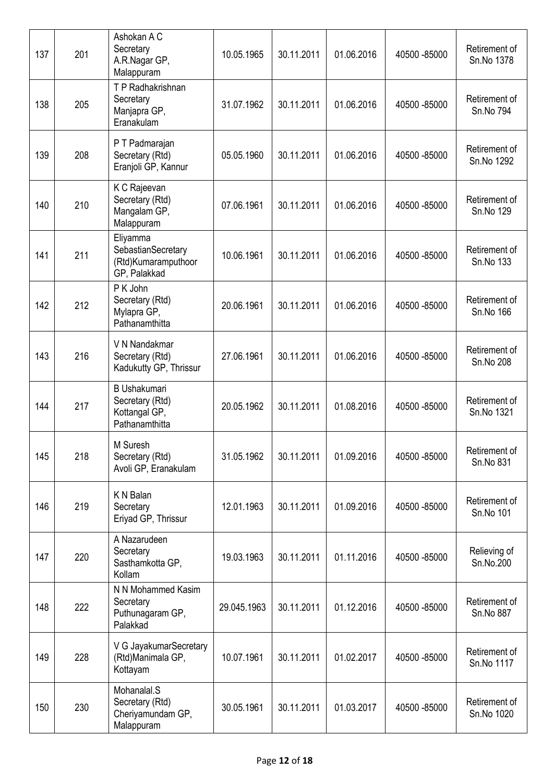| 137 | 201 | Ashokan A C<br>Secretary<br>A.R.Nagar GP,<br>Malappuram                   | 10.05.1965  | 30.11.2011 | 01.06.2016 | 40500 - 85000 | Retirement of<br>Sn.No 1378 |
|-----|-----|---------------------------------------------------------------------------|-------------|------------|------------|---------------|-----------------------------|
| 138 | 205 | T P Radhakrishnan<br>Secretary<br>Manjapra GP,<br>Eranakulam              | 31.07.1962  | 30.11.2011 | 01.06.2016 | 40500 - 85000 | Retirement of<br>Sn.No 794  |
| 139 | 208 | P T Padmarajan<br>Secretary (Rtd)<br>Eranjoli GP, Kannur                  | 05.05.1960  | 30.11.2011 | 01.06.2016 | 40500 - 85000 | Retirement of<br>Sn.No 1292 |
| 140 | 210 | K C Rajeevan<br>Secretary (Rtd)<br>Mangalam GP,<br>Malappuram             | 07.06.1961  | 30.11.2011 | 01.06.2016 | 40500 - 85000 | Retirement of<br>Sn.No 129  |
| 141 | 211 | Eliyamma<br>SebastianSecretary<br>(Rtd)Kumaramputhoor<br>GP, Palakkad     | 10.06.1961  | 30.11.2011 | 01.06.2016 | 40500 - 85000 | Retirement of<br>Sn.No 133  |
| 142 | 212 | P K John<br>Secretary (Rtd)<br>Mylapra GP,<br>Pathanamthitta              | 20.06.1961  | 30.11.2011 | 01.06.2016 | 40500 - 85000 | Retirement of<br>Sn.No 166  |
| 143 | 216 | V N Nandakmar<br>Secretary (Rtd)<br>Kadukutty GP, Thrissur                | 27.06.1961  | 30.11.2011 | 01.06.2016 | 40500 - 85000 | Retirement of<br>Sn.No 208  |
| 144 | 217 | <b>B</b> Ushakumari<br>Secretary (Rtd)<br>Kottangal GP,<br>Pathanamthitta | 20.05.1962  | 30.11.2011 | 01.08.2016 | 40500 - 85000 | Retirement of<br>Sn.No 1321 |
| 145 | 218 | M Suresh<br>Secretary (Rtd)<br>Avoli GP, Eranakulam                       | 31.05.1962  | 30.11.2011 | 01.09.2016 | 40500 - 85000 | Retirement of<br>Sn.No 831  |
| 146 | 219 | K N Balan<br>Secretary<br>Eriyad GP, Thrissur                             | 12.01.1963  | 30.11.2011 | 01.09.2016 | 40500 - 85000 | Retirement of<br>Sn.No 101  |
| 147 | 220 | A Nazarudeen<br>Secretary<br>Sasthamkotta GP,<br>Kollam                   | 19.03.1963  | 30.11.2011 | 01.11.2016 | 40500 - 85000 | Relieving of<br>Sn.No.200   |
| 148 | 222 | N N Mohammed Kasim<br>Secretary<br>Puthunagaram GP,<br>Palakkad           | 29.045.1963 | 30.11.2011 | 01.12.2016 | 40500 - 85000 | Retirement of<br>Sn.No 887  |
| 149 | 228 | V G JayakumarSecretary<br>(Rtd)Manimala GP,<br>Kottayam                   | 10.07.1961  | 30.11.2011 | 01.02.2017 | 40500 - 85000 | Retirement of<br>Sn.No 1117 |
| 150 | 230 | Mohanalal.S<br>Secretary (Rtd)<br>Cheriyamundam GP,<br>Malappuram         | 30.05.1961  | 30.11.2011 | 01.03.2017 | 40500 - 85000 | Retirement of<br>Sn.No 1020 |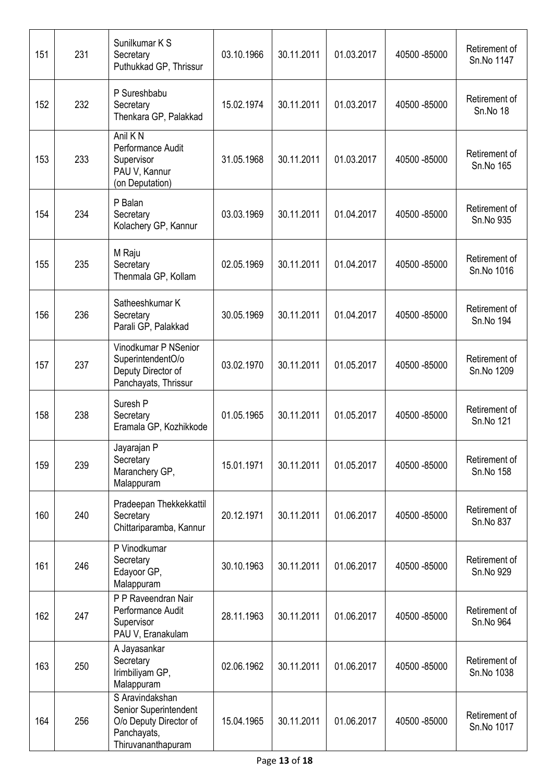| 151 | 231 | Sunilkumar K S<br>Secretary<br>Puthukkad GP, Thrissur                                                   | 03.10.1966 | 30.11.2011 | 01.03.2017 | 40500 - 85000 | Retirement of<br>Sn.No 1147      |
|-----|-----|---------------------------------------------------------------------------------------------------------|------------|------------|------------|---------------|----------------------------------|
| 152 | 232 | P Sureshbabu<br>Secretary<br>Thenkara GP, Palakkad                                                      | 15.02.1974 | 30.11.2011 | 01.03.2017 | 40500 - 85000 | Retirement of<br><b>Sn.No 18</b> |
| 153 | 233 | Anil K <sub>N</sub><br>Performance Audit<br>Supervisor<br>PAU V, Kannur<br>(on Deputation)              | 31.05.1968 | 30.11.2011 | 01.03.2017 | 40500 - 85000 | Retirement of<br>Sn.No 165       |
| 154 | 234 | P Balan<br>Secretary<br>Kolachery GP, Kannur                                                            | 03.03.1969 | 30.11.2011 | 01.04.2017 | 40500 - 85000 | Retirement of<br>Sn.No 935       |
| 155 | 235 | M Raju<br>Secretary<br>Thenmala GP, Kollam                                                              | 02.05.1969 | 30.11.2011 | 01.04.2017 | 40500 - 85000 | Retirement of<br>Sn.No 1016      |
| 156 | 236 | Satheeshkumar K<br>Secretary<br>Parali GP, Palakkad                                                     | 30.05.1969 | 30.11.2011 | 01.04.2017 | 40500 - 85000 | Retirement of<br>Sn.No 194       |
| 157 | 237 | Vinodkumar P NSenior<br>SuperintendentO/o<br>Deputy Director of<br>Panchayats, Thrissur                 | 03.02.1970 | 30.11.2011 | 01.05.2017 | 40500 - 85000 | Retirement of<br>Sn.No 1209      |
| 158 | 238 | Suresh P<br>Secretary<br>Eramala GP, Kozhikkode                                                         | 01.05.1965 | 30.11.2011 | 01.05.2017 | 40500 - 85000 | Retirement of<br>Sn.No 121       |
| 159 | 239 | Jayarajan P<br>Secretary<br>Maranchery GP,<br>Malappuram                                                | 15.01.1971 | 30.11.2011 | 01.05.2017 | 40500 - 85000 | Retirement of<br>Sn.No 158       |
| 160 | 240 | Pradeepan Thekkekkattil<br>Secretary<br>Chittariparamba, Kannur                                         | 20.12.1971 | 30.11.2011 | 01.06.2017 | 40500 - 85000 | Retirement of<br>Sn.No 837       |
| 161 | 246 | P Vinodkumar<br>Secretary<br>Edayoor GP,<br>Malappuram                                                  | 30.10.1963 | 30.11.2011 | 01.06.2017 | 40500 - 85000 | Retirement of<br>Sn.No 929       |
| 162 | 247 | P P Raveendran Nair<br>Performance Audit<br>Supervisor<br>PAU V, Eranakulam                             | 28.11.1963 | 30.11.2011 | 01.06.2017 | 40500 - 85000 | Retirement of<br>Sn.No 964       |
| 163 | 250 | A Jayasankar<br>Secretary<br>Irimbiliyam GP,<br>Malappuram                                              | 02.06.1962 | 30.11.2011 | 01.06.2017 | 40500 - 85000 | Retirement of<br>Sn.No 1038      |
| 164 | 256 | S Aravindakshan<br>Senior Superintendent<br>O/o Deputy Director of<br>Panchayats,<br>Thiruvananthapuram | 15.04.1965 | 30.11.2011 | 01.06.2017 | 40500 - 85000 | Retirement of<br>Sn.No 1017      |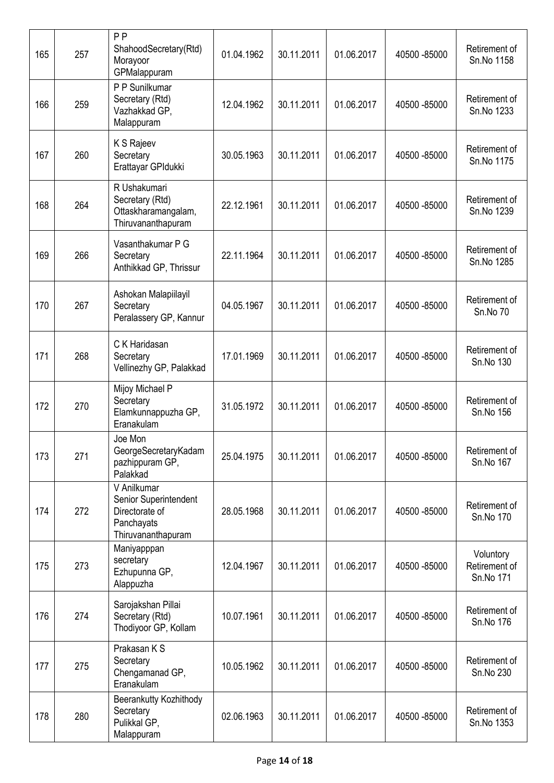| 165 | 257 | P P<br>ShahoodSecretary(Rtd)<br>Morayoor<br>GPMalappuram                                   | 01.04.1962 | 30.11.2011 | 01.06.2017 | 40500 - 85000 | Retirement of<br>Sn.No 1158             |
|-----|-----|--------------------------------------------------------------------------------------------|------------|------------|------------|---------------|-----------------------------------------|
| 166 | 259 | P P Sunilkumar<br>Secretary (Rtd)<br>Vazhakkad GP,<br>Malappuram                           | 12.04.1962 | 30.11.2011 | 01.06.2017 | 40500 - 85000 | Retirement of<br>Sn.No 1233             |
| 167 | 260 | K S Rajeev<br>Secretary<br>Erattayar GPIdukki                                              | 30.05.1963 | 30.11.2011 | 01.06.2017 | 40500 - 85000 | Retirement of<br>Sn.No 1175             |
| 168 | 264 | R Ushakumari<br>Secretary (Rtd)<br>Ottaskharamangalam,<br>Thiruvananthapuram               | 22.12.1961 | 30.11.2011 | 01.06.2017 | 40500 - 85000 | Retirement of<br>Sn.No 1239             |
| 169 | 266 | Vasanthakumar P G<br>Secretary<br>Anthikkad GP, Thrissur                                   | 22.11.1964 | 30.11.2011 | 01.06.2017 | 40500 - 85000 | Retirement of<br>Sn.No 1285             |
| 170 | 267 | Ashokan Malapiilayil<br>Secretary<br>Peralassery GP, Kannur                                | 04.05.1967 | 30.11.2011 | 01.06.2017 | 40500 - 85000 | Retirement of<br>Sn.No 70               |
| 171 | 268 | C K Haridasan<br>Secretary<br>Vellinezhy GP, Palakkad                                      | 17.01.1969 | 30.11.2011 | 01.06.2017 | 40500 - 85000 | Retirement of<br>Sn.No 130              |
| 172 | 270 | Mijoy Michael P<br>Secretary<br>Elamkunnappuzha GP,<br>Eranakulam                          | 31.05.1972 | 30.11.2011 | 01.06.2017 | 40500 - 85000 | Retirement of<br>Sn.No 156              |
| 173 | 271 | Joe Mon<br>GeorgeSecretaryKadam<br>pazhippuram GP,<br>Palakkad                             | 25.04.1975 | 30.11.2011 | 01.06.2017 | 40500 - 85000 | Retirement of<br>Sn.No 167              |
| 174 | 272 | V Anilkumar<br>Senior Superintendent<br>Directorate of<br>Panchayats<br>Thiruvananthapuram | 28.05.1968 | 30.11.2011 | 01.06.2017 | 40500 - 85000 | Retirement of<br>Sn.No 170              |
| 175 | 273 | Maniyapppan<br>secretary<br>Ezhupunna GP,<br>Alappuzha                                     | 12.04.1967 | 30.11.2011 | 01.06.2017 | 40500 - 85000 | Voluntory<br>Retirement of<br>Sn.No 171 |
| 176 | 274 | Sarojakshan Pillai<br>Secretary (Rtd)<br>Thodiyoor GP, Kollam                              | 10.07.1961 | 30.11.2011 | 01.06.2017 | 40500 - 85000 | Retirement of<br>Sn.No 176              |
| 177 | 275 | Prakasan K S<br>Secretary<br>Chengamanad GP,<br>Eranakulam                                 | 10.05.1962 | 30.11.2011 | 01.06.2017 | 40500 - 85000 | Retirement of<br>Sn.No 230              |
| 178 | 280 | Beerankutty Kozhithody<br>Secretary<br>Pulikkal GP,<br>Malappuram                          | 02.06.1963 | 30.11.2011 | 01.06.2017 | 40500 - 85000 | Retirement of<br>Sn.No 1353             |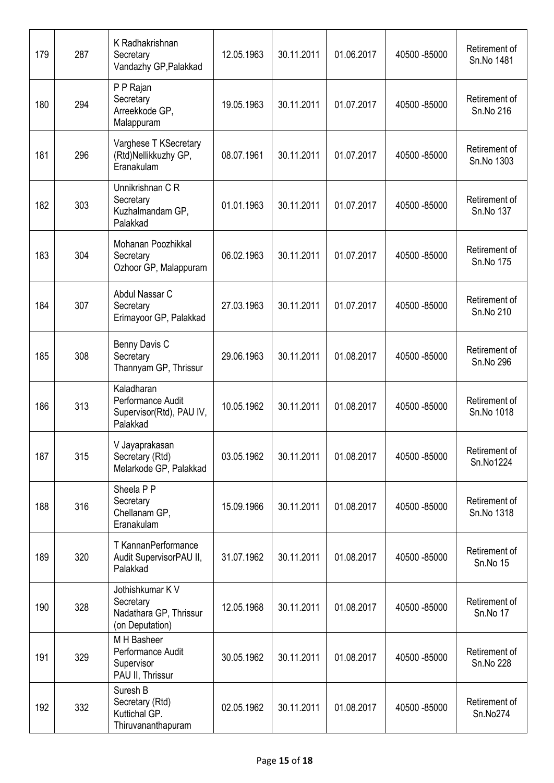| 179 | 287 | K Radhakrishnan<br>Secretary<br>Vandazhy GP, Palakkad                      | 12.05.1963 | 30.11.2011 | 01.06.2017 | 40500 - 85000 | Retirement of<br>Sn.No 1481 |
|-----|-----|----------------------------------------------------------------------------|------------|------------|------------|---------------|-----------------------------|
| 180 | 294 | P P Rajan<br>Secretary<br>Arreekkode GP,<br>Malappuram                     | 19.05.1963 | 30.11.2011 | 01.07.2017 | 40500 - 85000 | Retirement of<br>Sn.No 216  |
| 181 | 296 | Varghese T KSecretary<br>(Rtd)Nellikkuzhy GP,<br>Eranakulam                | 08.07.1961 | 30.11.2011 | 01.07.2017 | 40500 - 85000 | Retirement of<br>Sn.No 1303 |
| 182 | 303 | Unnikrishnan C R<br>Secretary<br>Kuzhalmandam GP,<br>Palakkad              | 01.01.1963 | 30.11.2011 | 01.07.2017 | 40500 - 85000 | Retirement of<br>Sn.No 137  |
| 183 | 304 | Mohanan Poozhikkal<br>Secretary<br>Ozhoor GP, Malappuram                   | 06.02.1963 | 30.11.2011 | 01.07.2017 | 40500 - 85000 | Retirement of<br>Sn.No 175  |
| 184 | 307 | Abdul Nassar C<br>Secretary<br>Erimayoor GP, Palakkad                      | 27.03.1963 | 30.11.2011 | 01.07.2017 | 40500 - 85000 | Retirement of<br>Sn.No 210  |
| 185 | 308 | Benny Davis C<br>Secretary<br>Thannyam GP, Thrissur                        | 29.06.1963 | 30.11.2011 | 01.08.2017 | 40500 - 85000 | Retirement of<br>Sn.No 296  |
| 186 | 313 | Kaladharan<br>Performance Audit<br>Supervisor(Rtd), PAU IV,<br>Palakkad    | 10.05.1962 | 30.11.2011 | 01.08.2017 | 40500 - 85000 | Retirement of<br>Sn.No 1018 |
| 187 | 315 | V Jayaprakasan<br>Secretary (Rtd)<br>Melarkode GP, Palakkad                | 03.05.1962 | 30.11.2011 | 01.08.2017 | 40500 - 85000 | Retirement of<br>Sn.No1224  |
| 188 | 316 | Sheela P P<br>Secretary<br>Chellanam GP,<br>Eranakulam                     | 15.09.1966 | 30.11.2011 | 01.08.2017 | 40500 - 85000 | Retirement of<br>Sn.No 1318 |
| 189 | 320 | T KannanPerformance<br>Audit SupervisorPAU II,<br>Palakkad                 | 31.07.1962 | 30.11.2011 | 01.08.2017 | 40500 - 85000 | Retirement of<br>Sn.No 15   |
| 190 | 328 | Jothishkumar K V<br>Secretary<br>Nadathara GP, Thrissur<br>(on Deputation) | 12.05.1968 | 30.11.2011 | 01.08.2017 | 40500 - 85000 | Retirement of<br>Sn.No 17   |
| 191 | 329 | M H Basheer<br>Performance Audit<br>Supervisor<br>PAU II, Thrissur         | 30.05.1962 | 30.11.2011 | 01.08.2017 | 40500 - 85000 | Retirement of<br>Sn.No 228  |
| 192 | 332 | Suresh B<br>Secretary (Rtd)<br>Kuttichal GP.<br>Thiruvananthapuram         | 02.05.1962 | 30.11.2011 | 01.08.2017 | 40500 - 85000 | Retirement of<br>Sn.No274   |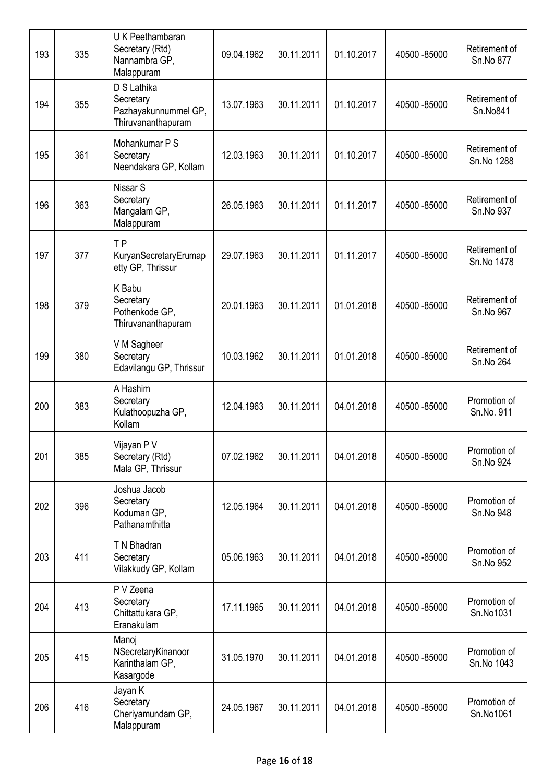| 193 | 335 | U K Peethambaran<br>Secretary (Rtd)<br>Nannambra GP,<br>Malappuram     | 09.04.1962 | 30.11.2011 | 01.10.2017 | 40500 - 85000 | Retirement of<br>Sn.No 877  |
|-----|-----|------------------------------------------------------------------------|------------|------------|------------|---------------|-----------------------------|
| 194 | 355 | D S Lathika<br>Secretary<br>Pazhayakunnummel GP,<br>Thiruvananthapuram | 13.07.1963 | 30.11.2011 | 01.10.2017 | 40500 - 85000 | Retirement of<br>Sn.No841   |
| 195 | 361 | Mohankumar P S<br>Secretary<br>Neendakara GP, Kollam                   | 12.03.1963 | 30.11.2011 | 01.10.2017 | 40500 - 85000 | Retirement of<br>Sn.No 1288 |
| 196 | 363 | Nissar S<br>Secretary<br>Mangalam GP,<br>Malappuram                    | 26.05.1963 | 30.11.2011 | 01.11.2017 | 40500 - 85000 | Retirement of<br>Sn.No 937  |
| 197 | 377 | <b>TP</b><br>KuryanSecretaryErumap<br>etty GP, Thrissur                | 29.07.1963 | 30.11.2011 | 01.11.2017 | 40500 - 85000 | Retirement of<br>Sn.No 1478 |
| 198 | 379 | K Babu<br>Secretary<br>Pothenkode GP,<br>Thiruvananthapuram            | 20.01.1963 | 30.11.2011 | 01.01.2018 | 40500 - 85000 | Retirement of<br>Sn.No 967  |
| 199 | 380 | V M Sagheer<br>Secretary<br>Edavilangu GP, Thrissur                    | 10.03.1962 | 30.11.2011 | 01.01.2018 | 40500 - 85000 | Retirement of<br>Sn.No 264  |
| 200 | 383 | A Hashim<br>Secretary<br>Kulathoopuzha GP,<br>Kollam                   | 12.04.1963 | 30.11.2011 | 04.01.2018 | 40500 - 85000 | Promotion of<br>Sn.No. 911  |
| 201 | 385 | Vijayan P V<br>Secretary (Rtd)<br>Mala GP, Thrissur                    | 07.02.1962 | 30.11.2011 | 04.01.2018 | 40500 - 85000 | Promotion of<br>Sn.No 924   |
| 202 | 396 | Joshua Jacob<br>Secretary<br>Koduman GP,<br>Pathanamthitta             | 12.05.1964 | 30.11.2011 | 04.01.2018 | 40500 - 85000 | Promotion of<br>Sn.No 948   |
| 203 | 411 | T N Bhadran<br>Secretary<br>Vilakkudy GP, Kollam                       | 05.06.1963 | 30.11.2011 | 04.01.2018 | 40500 - 85000 | Promotion of<br>Sn.No 952   |
| 204 | 413 | P V Zeena<br>Secretary<br>Chittattukara GP,<br>Eranakulam              | 17.11.1965 | 30.11.2011 | 04.01.2018 | 40500 - 85000 | Promotion of<br>Sn.No1031   |
| 205 | 415 | Manoj<br>NSecretaryKinanoor<br>Karinthalam GP,<br>Kasargode            | 31.05.1970 | 30.11.2011 | 04.01.2018 | 40500 - 85000 | Promotion of<br>Sn.No 1043  |
| 206 | 416 | Jayan K<br>Secretary<br>Cheriyamundam GP,<br>Malappuram                | 24.05.1967 | 30.11.2011 | 04.01.2018 | 40500 - 85000 | Promotion of<br>Sn.No1061   |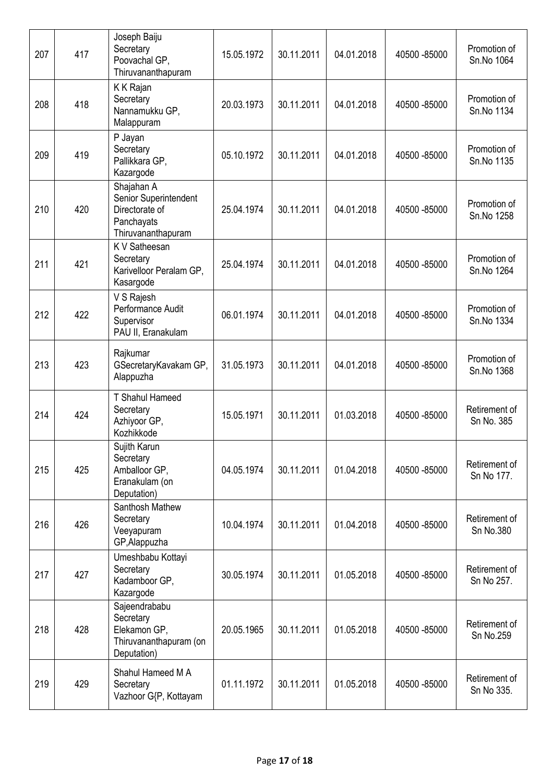| 207 | 417 | Joseph Baiju<br>Secretary<br>Poovachal GP,<br>Thiruvananthapuram                          | 15.05.1972 | 30.11.2011 | 04.01.2018 | 40500 - 85000 | Promotion of<br>Sn.No 1064  |
|-----|-----|-------------------------------------------------------------------------------------------|------------|------------|------------|---------------|-----------------------------|
| 208 | 418 | K K Rajan<br>Secretary<br>Nannamukku GP,<br>Malappuram                                    | 20.03.1973 | 30.11.2011 | 04.01.2018 | 40500 - 85000 | Promotion of<br>Sn.No 1134  |
| 209 | 419 | P Jayan<br>Secretary<br>Pallikkara GP,<br>Kazargode                                       | 05.10.1972 | 30.11.2011 | 04.01.2018 | 40500 - 85000 | Promotion of<br>Sn.No 1135  |
| 210 | 420 | Shajahan A<br>Senior Superintendent<br>Directorate of<br>Panchayats<br>Thiruvananthapuram | 25.04.1974 | 30.11.2011 | 04.01.2018 | 40500 - 85000 | Promotion of<br>Sn.No 1258  |
| 211 | 421 | K V Satheesan<br>Secretary<br>Karivelloor Peralam GP,<br>Kasargode                        | 25.04.1974 | 30.11.2011 | 04.01.2018 | 40500 - 85000 | Promotion of<br>Sn.No 1264  |
| 212 | 422 | V S Rajesh<br>Performance Audit<br>Supervisor<br>PAU II, Eranakulam                       | 06.01.1974 | 30.11.2011 | 04.01.2018 | 40500 - 85000 | Promotion of<br>Sn.No 1334  |
| 213 | 423 | Rajkumar<br>GSecretaryKavakam GP,<br>Alappuzha                                            | 31.05.1973 | 30.11.2011 | 04.01.2018 | 40500 - 85000 | Promotion of<br>Sn.No 1368  |
| 214 | 424 | T Shahul Hameed<br>Secretary<br>Azhiyoor GP,<br>Kozhikkode                                | 15.05.1971 | 30.11.2011 | 01.03.2018 | 40500 - 85000 | Retirement of<br>Sn No. 385 |
| 215 | 425 | Sujith Karun<br>Secretary<br>Amballoor GP,<br>Eranakulam (on<br>Deputation)               | 04.05.1974 | 30.11.2011 | 01.04.2018 | 40500 - 85000 | Retirement of<br>Sn No 177. |
| 216 | 426 | Santhosh Mathew<br>Secretary<br>Veeyapuram<br>GP, Alappuzha                               | 10.04.1974 | 30.11.2011 | 01.04.2018 | 40500 - 85000 | Retirement of<br>Sn No.380  |
| 217 | 427 | Umeshbabu Kottayi<br>Secretary<br>Kadamboor GP,<br>Kazargode                              | 30.05.1974 | 30.11.2011 | 01.05.2018 | 40500 - 85000 | Retirement of<br>Sn No 257. |
| 218 | 428 | Sajeendrababu<br>Secretary<br>Elekamon GP,<br>Thiruvananthapuram (on<br>Deputation)       | 20.05.1965 | 30.11.2011 | 01.05.2018 | 40500 - 85000 | Retirement of<br>Sn No.259  |
| 219 | 429 | Shahul Hameed M A<br>Secretary<br>Vazhoor G{P, Kottayam                                   | 01.11.1972 | 30.11.2011 | 01.05.2018 | 40500 - 85000 | Retirement of<br>Sn No 335. |